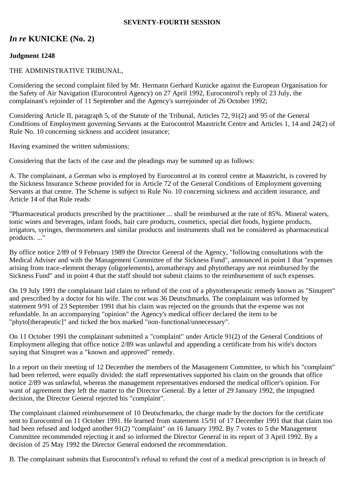### **SEVENTY-FOURTH SESSION**

# *In re* **KUNICKE (No. 2)**

## **Judgment 1248**

### THE ADMINISTRATIVE TRIBUNAL,

Considering the second complaint filed by Mr. Hermann Gerhard Kunicke against the European Organisation for the Safety of Air Navigation (Eurocontrol Agency) on 27 April 1992, Eurocontrol's reply of 23 July, the complainant's rejoinder of 11 September and the Agency's surrejoinder of 26 October 1992;

Considering Article II, paragraph 5, of the Statute of the Tribunal, Articles 72, 91(2) and 95 of the General Conditions of Employment governing Servants at the Eurocontrol Maastricht Centre and Articles 1, 14 and 24(2) of Rule No. 10 concerning sickness and accident insurance;

Having examined the written submissions;

Considering that the facts of the case and the pleadings may be summed up as follows:

A. The complainant, a German who is employed by Eurocontrol at its control centre at Maastricht, is covered by the Sickness Insurance Scheme provided for in Article 72 of the General Conditions of Employment governing Servants at that centre. The Scheme is subject to Rule No. 10 concerning sickness and accident insurance, and Article 14 of that Rule reads:

"Pharmaceutical products prescribed by the practitioner ... shall be reimbursed at the rate of 85%. Mineral waters, tonic wines and beverages, infant foods, hair care products, cosmetics, special diet foods, hygiene products, irrigators, syringes, thermometers and similar products and instruments shall not be considered as pharmaceutical products. ..."

By office notice 2/89 of 9 February 1989 the Director General of the Agency, "following consultations with the Medical Adviser and with the Management Committee of the Sickness Fund", announced in point 1 that "expenses arising from trace-element therapy (oligoelements), aromatherapy and phytotherapy are not reimbursed by the Sickness Fund" and in point 4 that the staff should not submit claims to the reimbursement of such expenses.

On 19 July 1991 the complainant laid claim to refund of the cost of a phytotherapeutic remedy known as "Sinupret" and prescribed by a doctor for his wife. The cost was 36 Deutschmarks. The complainant was informed by statement 9/91 of 23 September 1991 that his claim was rejected on the grounds that the expense was not refundable. In an accompanying "opinion" the Agency's medical officer declared the item to be "phyto[therapeutic]" and ticked the box marked "non-functional/unnecessary".

On 11 October 1991 the complainant submitted a "complaint" under Article 91(2) of the General Conditions of Employment alleging that office notice 2/89 was unlawful and appending a certificate from his wife's doctors saying that Sinupret was a "known and approved" remedy.

In a report on their meeting of 12 December the members of the Management Committee, to which his "complaint" had been referred, were equally divided: the staff representatives supported his claim on the grounds that office notice 2/89 was unlawful, whereas the management representatives endorsed the medical officer's opinion. For want of agreement they left the matter to the Director General. By a letter of 29 January 1992, the impugned decision, the Director General rejected his "complaint".

The complainant claimed reimbursement of 10 Deutschmarks, the charge made by the doctors for the certificate sent to Eurocontrol on 11 October 1991. He learned from statement 15/91 of 17 December 1991 that that claim too had been refused and lodged another 91(2) "complaint" on 16 January 1992. By 7 votes to 5 the Management Committee recommended rejecting it and so informed the Director General in its report of 3 April 1992. By a decision of 25 May 1992 the Director General endorsed the recommendation.

B. The complainant submits that Eurocontrol's refusal to refund the cost of a medical prescription is in breach of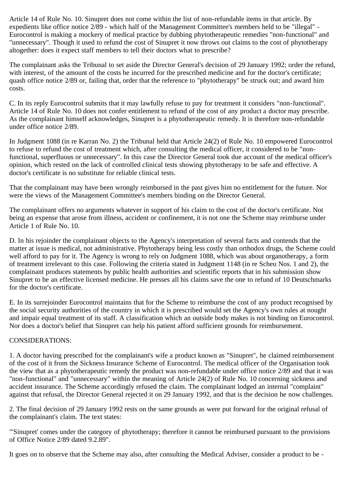Article 14 of Rule No. 10. Sinupret does not come within the list of non-refundable items in that article. By expedients like office notice 2/89 - which half of the Management Committee's members held to be "illegal" - Eurocontrol is making a mockery of medical practice by dubbing phytotherapeutic remedies "non-functional" and "unnecessary". Though it used to refund the cost of Sinupret it now throws out claims to the cost of phytotherapy altogether: does it expect staff members to tell their doctors what to prescribe?

The complainant asks the Tribunal to set aside the Director General's decision of 29 January 1992; order the refund, with interest, of the amount of the costs he incurred for the prescribed medicine and for the doctor's certificate; quash office notice 2/89 or, failing that, order that the reference to "phytotherapy" be struck out; and award him costs.

C. In its reply Eurocontrol submits that it may lawfully refuse to pay for treatment it considers "non-functional". Article 14 of Rule No. 10 does not confer entitlement to refund of the cost of any product a doctor may prescribe. As the complainant himself acknowledges, Sinupret is a phytotherapeutic remedy. It is therefore non-refundable under office notice 2/89.

In Judgment 1088 (in re Karran No. 2) the Tribunal held that Article 24(2) of Rule No. 10 empowered Eurocontrol to refuse to refund the cost of treatment which, after consulting the medical officer, it considered to be "nonfunctional, superfluous or unnecessary". In this case the Director General took due account of the medical officer's opinion, which rested on the lack of controlled clinical tests showing phytotherapy to be safe and effective. A doctor's certificate is no substitute for reliable clinical tests.

That the complainant may have been wrongly reimbursed in the past gives him no entitlement for the future. Nor were the views of the Management Committee's members binding on the Director General.

The complainant offers no arguments whatever in support of his claim to the cost of the doctor's certificate. Not being an expense that arose from illness, accident or confinement, it is not one the Scheme may reimburse under Article 1 of Rule No. 10.

D. In his rejoinder the complainant objects to the Agency's interpretation of several facts and contends that the matter at issue is medical, not administrative. Phytotherapy being less costly than orthodox drugs, the Scheme could well afford to pay for it. The Agency is wrong to rely on Judgment 1088, which was about organotherapy, a form of treatment irrelevant to this case. Following the criteria stated in Judgment 1148 (in re Scheu Nos. 1 and 2), the complainant produces statements by public health authorities and scientific reports that in his submission show Sinupret to be an effective licensed medicine. He presses all his claims save the one to refund of 10 Deutschmarks for the doctor's certificate.

E. In its surrejoinder Eurocontrol maintains that for the Scheme to reimburse the cost of any product recognised by the social security authorities of the country in which it is prescribed would set the Agency's own rules at nought and impair equal treatment of its staff. A classification which an outside body makes is not binding on Eurocontrol. Nor does a doctor's belief that Sinupret can help his patient afford sufficient grounds for reimbursement.

## CONSIDERATIONS:

1. A doctor having prescribed for the complainant's wife a product known as "Sinupret", he claimed reimbursement of the cost of it from the Sickness Insurance Scheme of Eurocontrol. The medical officer of the Organisation took the view that as a phytotherapeutic remedy the product was non-refundable under office notice 2/89 and that it was "non-functional" and "unnecessary" within the meaning of Article 24(2) of Rule No. 10 concerning sickness and accident insurance. The Scheme accordingly refused the claim. The complainant lodged an internal "complaint" against that refusal, the Director General rejected it on 29 January 1992, and that is the decision he now challenges.

2. The final decision of 29 January 1992 rests on the same grounds as were put forward for the original refusal of the complainant's claim. The text states:

"'Sinupret' comes under the category of phytotherapy; therefore it cannot be reimbursed pursuant to the provisions of Office Notice 2/89 dated 9.2.89".

It goes on to observe that the Scheme may also, after consulting the Medical Adviser, consider a product to be -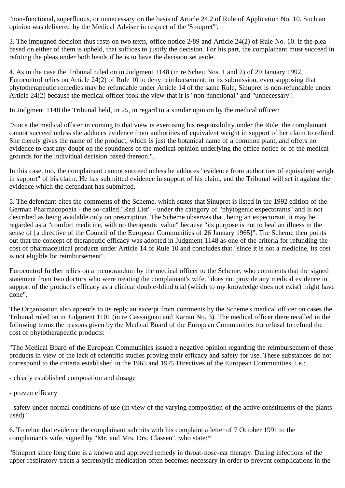"non-functional, superfluous, or unnecessary on the basis of Article 24.2 of Rule of Application No. 10. Such an opinion was delivered by the Medical Adviser in respect of the 'Sinupret'".

3. The impugned decision thus rests on two texts, office notice 2/89 and Article 24(2) of Rule No. 10. If the plea based on either of them is upheld, that suffices to justify the decision. For his part, the complainant must succeed in refuting the pleas under both heads if he is to have the decision set aside.

4. As in the case the Tribunal ruled on in Judgment 1148 (in re Scheu Nos. 1 and 2) of 29 January 1992, Eurocontrol relies on Article 24(2) of Rule 10 to deny reimbursement: in its submission, even supposing that phytotherapeutic remedies may be refundable under Article 14 of the same Rule, Sinupret is non-refundable under Article 24(2) because the medical officer took the view that it is "non-functional" and "unnecessary".

In Judgment 1148 the Tribunal held, in 25, in regard to a similar opinion by the medical officer:

"Since the medical officer in coming to that view is exercising his responsibility under the Rule, the complainant cannot succeed unless she adduces evidence from authorities of equivalent weight in support of her claim to refund. She merely gives the name of the product, which is just the botanical name of a common plant, and offers no evidence to cast any doubt on the soundness of the medical opinion underlying the office notice or of the medical grounds for the individual decision based thereon.".

In this case, too, the complainant cannot succeed unless he adduces "evidence from authorities of equivalent weight in support" of his claim. He has submitted evidence in support of his claim, and the Tribunal will set it against the evidence which the defendant has submitted.

5. The defendant cites the comments of the Scheme, which states that Sinupret is listed in the 1992 edition of the German Pharmacopoeia - the so-called "Red List" - under the category of "phytogenic expectorants" and is not described as being available only on prescription. The Scheme observes that, being an expectorant, it may be regarded as a "comfort medicine, with no therapeutic value" because "its purpose is not to heal an illness in the sense of [a directive of the Council of the European Communities of 26 January 1965]". The Scheme then points out that the concept of therapeutic efficacy was adopted in Judgment 1148 as one of the criteria for refunding the cost of pharmaceutical products under Article 14 of Rule 10 and concludes that "since it is not a medicine, its cost is not eligible for reimbursement".

Eurocontrol further relies on a memorandum by the medical officer to the Scheme, who comments that the signed statement from two doctors who were treating the complainant's wife, "does not provide any medical evidence in support of the product's efficacy as a clinical double-blind trial (which to my knowledge does not exist) might have done".

The Organisation also appends to its reply an excerpt from comments by the Scheme's medical officer on cases the Tribunal ruled on in Judgment 1101 (in re Cassaignau and Karran No. 3). The medical officer there recalled in the following terms the reasons given by the Medical Board of the European Communities for refusal to refund the cost of phytotherapeutic products:

"The Medical Board of the European Communities issued a negative opinion regarding the reimbursement of these products in view of the lack of scientific studies proving their efficacy and safety for use. These substances do not correspond to the criteria established in the 1965 and 1975 Directives of the European Communities, i.e.:

- clearly established composition and dosage
- proven efficacy

- safety under normal conditions of use (in view of the varying composition of the active constituents of the plants used)."

6. To rebut that evidence the complainant submits with his complaint a letter of 7 October 1991 to the complainant's wife, signed by "Mr. and Mrs. Drs. Classen", who state:\*

"Sinupret since long time is a known and approved remedy in throat-nose-ear therapy. During infections of the upper respiratory tracts a secretolytic medication often becomes necessary in order to prevent complications in the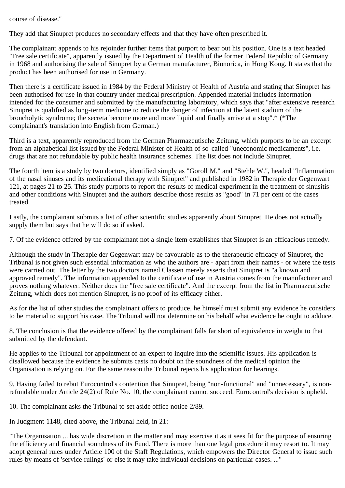course of disease."

They add that Sinupret produces no secondary effects and that they have often prescribed it.

The complainant appends to his rejoinder further items that purport to bear out his position. One is a text headed "Free sale certificate", apparently issued by the Department of Health of the former Federal Republic of Germany in 1968 and authorising the sale of Sinupret by a German manufacturer, Bionorica, in Hong Kong. It states that the product has been authorised for use in Germany.

Then there is a certificate issued in 1984 by the Federal Ministry of Health of Austria and stating that Sinupret has been authorised for use in that country under medical prescription. Appended material includes information intended for the consumer and submitted by the manufacturing laboratory, which says that "after extensive research Sinupret is qualified as long-term medicine to reduce the danger of infection at the latent stadium of the broncholytic syndrome; the secreta become more and more liquid and finally arrive at a stop".\* (\*The complainant's translation into English from German.)

Third is a text, apparently reproduced from the German Pharmazeutische Zeitung, which purports to be an excerpt from an alphabetical list issued by the Federal Minister of Health of so-called "uneconomic medicaments", i.e. drugs that are not refundable by public health insurance schemes. The list does not include Sinupret.

The fourth item is a study by two doctors, identified simply as "Goroll M." and "Stehle W.", headed "Inflammation of the nasal sinuses and its medicational therapy with Sinupret" and published in 1982 in Therapie der Gegenwart 121, at pages 21 to 25. This study purports to report the results of medical experiment in the treatment of sinusitis and other conditions with Sinupret and the authors describe those results as "good" in 71 per cent of the cases treated.

Lastly, the complainant submits a list of other scientific studies apparently about Sinupret. He does not actually supply them but says that he will do so if asked.

7. Of the evidence offered by the complainant not a single item establishes that Sinupret is an efficacious remedy.

Although the study in Therapie der Gegenwart may be favourable as to the therapeutic efficacy of Sinupret, the Tribunal is not given such essential information as who the authors are - apart from their names - or where the tests were carried out. The letter by the two doctors named Classen merely asserts that Sinupret is "a known and approved remedy". The information appended to the certificate of use in Austria comes from the manufacturer and proves nothing whatever. Neither does the "free sale certificate". And the excerpt from the list in Pharmazeutische Zeitung, which does not mention Sinupret, is no proof of its efficacy either.

As for the list of other studies the complainant offers to produce, he himself must submit any evidence he considers to be material to support his case. The Tribunal will not determine on his behalf what evidence he ought to adduce.

8. The conclusion is that the evidence offered by the complainant falls far short of equivalence in weight to that submitted by the defendant.

He applies to the Tribunal for appointment of an expert to inquire into the scientific issues. His application is disallowed because the evidence he submits casts no doubt on the soundness of the medical opinion the Organisation is relying on. For the same reason the Tribunal rejects his application for hearings.

9. Having failed to rebut Eurocontrol's contention that Sinupret, being "non-functional" and "unnecessary", is nonrefundable under Article 24(2) of Rule No. 10, the complainant cannot succeed. Eurocontrol's decision is upheld.

10. The complainant asks the Tribunal to set aside office notice 2/89.

In Judgment 1148, cited above, the Tribunal held, in 21:

"The Organisation ... has wide discretion in the matter and may exercise it as it sees fit for the purpose of ensuring the efficiency and financial soundness of its Fund. There is more than one legal procedure it may resort to. It may adopt general rules under Article 100 of the Staff Regulations, which empowers the Director General to issue such rules by means of 'service rulings' or else it may take individual decisions on particular cases. ..."